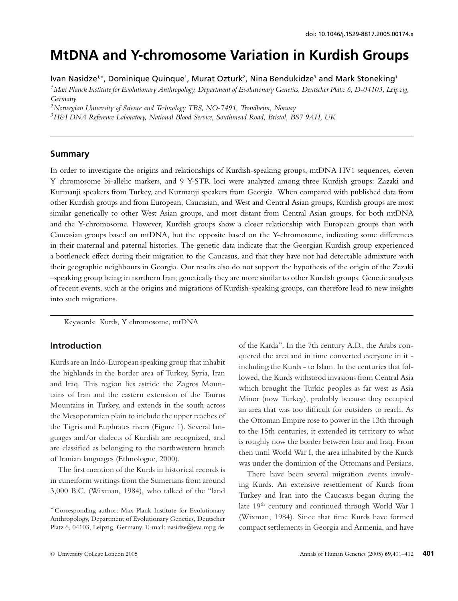# **MtDNA and Y-chromosome Variation in Kurdish Groups**

Ivan Nasidze™, Dominique Quinque', Murat Ozturk<sup>2</sup>, Nina Bendukidze<sup>3</sup> and Mark Stoneking'

*1Max Planck Institute for Evolutionary Anthropology, Department of Evolutionary Genetics, Deutscher Platz 6, D-04103, Leipzig, Germany*

*2Norwegian University of Science and Technology TBS, NO-7491, Trondheim, Norway*

*3H&I DNA Reference Laboratory, National Blood Service, Southmead Road, Bristol, BS7 9AH, UK*

## **Summary**

In order to investigate the origins and relationships of Kurdish-speaking groups, mtDNA HV1 sequences, eleven Y chromosome bi-allelic markers, and 9 Y-STR loci were analyzed among three Kurdish groups: Zazaki and Kurmanji speakers from Turkey, and Kurmanji speakers from Georgia. When compared with published data from other Kurdish groups and from European, Caucasian, and West and Central Asian groups, Kurdish groups are most similar genetically to other West Asian groups, and most distant from Central Asian groups, for both mtDNA and the Y-chromosome. However, Kurdish groups show a closer relationship with European groups than with Caucasian groups based on mtDNA, but the opposite based on the Y-chromosome, indicating some differences in their maternal and paternal histories. The genetic data indicate that the Georgian Kurdish group experienced a bottleneck effect during their migration to the Caucasus, and that they have not had detectable admixture with their geographic neighbours in Georgia. Our results also do not support the hypothesis of the origin of the Zazaki –speaking group being in northern Iran; genetically they are more similar to other Kurdish groups. Genetic analyses of recent events, such as the origins and migrations of Kurdish-speaking groups, can therefore lead to new insights into such migrations.

Keywords: Kurds, Y chromosome, mtDNA

## **Introduction**

Kurds are an Indo-European speaking group that inhabit the highlands in the border area of Turkey, Syria, Iran and Iraq. This region lies astride the Zagros Mountains of Iran and the eastern extension of the Taurus Mountains in Turkey, and extends in the south across the Mesopotamian plain to include the upper reaches of the Tigris and Euphrates rivers (Figure 1). Several languages and/or dialects of Kurdish are recognized, and are classified as belonging to the northwestern branch of Iranian languages (Ethnologue, 2000).

The first mention of the Kurds in historical records is in cuneiform writings from the Sumerians from around 3,000 B.C. (Wixman, 1984), who talked of the "land

of the Karda". In the 7th century A.D., the Arabs conquered the area and in time converted everyone in it including the Kurds - to Islam. In the centuries that followed, the Kurds withstood invasions from Central Asia which brought the Turkic peoples as far west as Asia Minor (now Turkey), probably because they occupied an area that was too difficult for outsiders to reach. As the Ottoman Empire rose to power in the 13th through to the 15th centuries, it extended its territory to what is roughly now the border between Iran and Iraq. From then until World War I, the area inhabited by the Kurds was under the dominion of the Ottomans and Persians.

There have been several migration events involving Kurds. An extensive resettlement of Kurds from Turkey and Iran into the Caucasus began during the late 19<sup>th</sup> century and continued through World War I (Wixman, 1984). Since that time Kurds have formed compact settlements in Georgia and Armenia, and have

<sup>∗</sup>Corresponding author: Max Plank Institute for Evolutionary Anthropology, Department of Evolutionary Genetics, Deutscher Platz 6, 04103, Leipzig, Germany. E-mail: nasidze@eva.mpg.de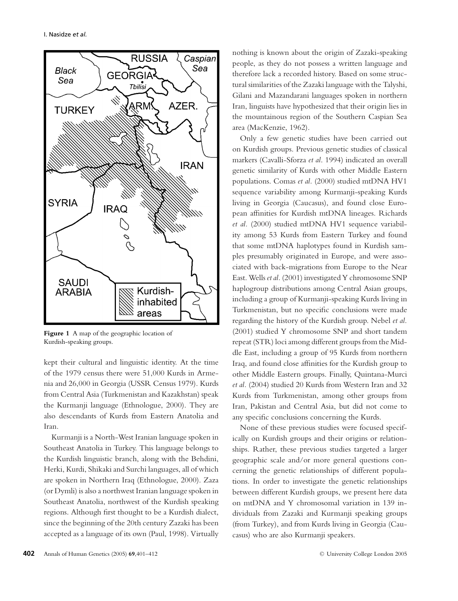

**Figure 1** A map of the geographic location of Kurdish-speaking groups.

kept their cultural and linguistic identity. At the time of the 1979 census there were 51,000 Kurds in Armenia and 26,000 in Georgia (USSR Census 1979). Kurds from Central Asia (Turkmenistan and Kazakhstan) speak the Kurmanji language (Ethnologue, 2000). They are also descendants of Kurds from Eastern Anatolia and Iran.

Kurmanji is a North-West Iranian language spoken in Southeast Anatolia in Turkey. This language belongs to the Kurdish linguistic branch, along with the Behdini, Herki, Kurdi, Shikaki and Surchi languages, all of which are spoken in Northern Iraq (Ethnologue, 2000). Zaza (or Dymli) is also a northwest Iranian language spoken in Southeast Anatolia, northwest of the Kurdish speaking regions. Although first thought to be a Kurdish dialect, since the beginning of the 20th century Zazaki has been accepted as a language of its own (Paul, 1998). Virtually

nothing is known about the origin of Zazaki-speaking people, as they do not possess a written language and therefore lack a recorded history. Based on some structural similarities of the Zazaki language with the Talyshi, Gilani and Mazandarani languages spoken in northern Iran, linguists have hypothesized that their origin lies in the mountainous region of the Southern Caspian Sea area (MacKenzie, 1962).

Only a few genetic studies have been carried out on Kurdish groups. Previous genetic studies of classical markers (Cavalli-Sforza *et al*. 1994) indicated an overall genetic similarity of Kurds with other Middle Eastern populations. Comas *et al.* (2000) studied mtDNA HV1 sequence variability among Kurmanji-speaking Kurds living in Georgia (Caucasus), and found close European affinities for Kurdish mtDNA lineages. Richards *et al.* (2000) studied mtDNA HV1 sequence variability among 53 Kurds from Eastern Turkey and found that some mtDNA haplotypes found in Kurdish samples presumably originated in Europe, and were associated with back-migrations from Europe to the Near East. Wells *et al.* (2001) investigated Y chromosome SNP haplogroup distributions among Central Asian groups, including a group of Kurmanji-speaking Kurds living in Turkmenistan, but no specific conclusions were made regarding the history of the Kurdish group. Nebel *et al.* (2001) studied Y chromosome SNP and short tandem repeat (STR) loci among different groups from the Middle East, including a group of 95 Kurds from northern Iraq, and found close affinities for the Kurdish group to other Middle Eastern groups. Finally, Quintana-Murci *et al.* (2004) studied 20 Kurds from Western Iran and 32 Kurds from Turkmenistan, among other groups from Iran, Pakistan and Central Asia, but did not come to any specific conclusions concerning the Kurds.

None of these previous studies were focused specifically on Kurdish groups and their origins or relationships. Rather, these previous studies targeted a larger geographic scale and/or more general questions concerning the genetic relationships of different populations. In order to investigate the genetic relationships between different Kurdish groups, we present here data on mtDNA and Y chromosomal variation in 139 individuals from Zazaki and Kurmanji speaking groups (from Turkey), and from Kurds living in Georgia (Caucasus) who are also Kurmanji speakers.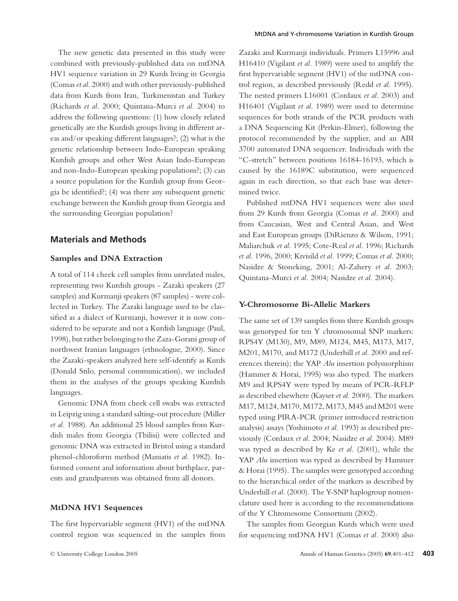The new genetic data presented in this study were combined with previously-published data on mtDNA HV1 sequence variation in 29 Kurds living in Georgia (Comas *et al.* 2000) and with other previously-published data from Kurds from Iran, Turkmenistan and Turkey (Richards *et al.* 2000; Quintana-Murci *et al.* 2004) to address the following questions: (1) how closely related genetically are the Kurdish groups living in different areas and/or speaking different languages?; (2) what is the genetic relationship between Indo-European speaking Kurdish groups and other West Asian Indo-European and non-Indo-European speaking populations?; (3) can a source population for the Kurdish group from Georgia be identified?; (4) was there any subsequent genetic exchange between the Kurdish group from Georgia and the surrounding Georgian population?

## **Materials and Methods**

## **Samples and DNA Extraction**

A total of 114 cheek cell samples from unrelated males, representing two Kurdish groups - Zazaki speakers (27 samples) and Kurmanji speakers (87 samples) - were collected in Turkey. The Zazaki language used to be classified as a dialect of Kurmanji, however it is now considered to be separate and not a Kurdish language (Paul, 1998), but rather belonging to the Zaza-Gorani group of northwest Iranian languages (ethnologue, 2000). Since the Zazaki-speakers analyzed here self-identify as Kurds (Donald Stilo, personal communication), we included them in the analyses of the groups speaking Kurdish languages.

Genomic DNA from cheek cell swabs was extracted in Leipzig using a standard salting-out procedure (Miller *et al.* 1988). An additional 25 blood samples from Kurdish males from Georgia (Tbilisi) were collected and genomic DNA was extracted in Bristol using a standard phenol-chloroform method (Maniatis *et al.* 1982). Informed consent and information about birthplace, parents and grandparents was obtained from all donors.

### **MtDNA HV1 Sequences**

The first hypervariable segment (HV1) of the mtDNA control region was sequenced in the samples from

Zazaki and Kurmanji individuals. Primers L15996 and H16410 (Vigilant *et al*. 1989) were used to amplify the first hypervariable segment (HV1) of the mtDNA control region, as described previously (Redd *et al*. 1995). The nested primers L16001 (Cordaux *et al*. 2003) and H16401 (Vigilant *et al*. 1989) were used to determine sequences for both strands of the PCR products with a DNA Sequencing Kit (Perkin-Elmer), following the protocol recommended by the supplier, and an ABI 3700 automated DNA sequencer. Individuals with the "C-stretch" between positions 16184-16193, which is caused by the 16189C substitution, were sequenced again in each direction, so that each base was determined twice.

Published mtDNA HV1 sequences were also used from 29 Kurds from Georgia (Comas *et al.* 2000) and from Caucasian, West and Central Asian, and West and East European groups (DiRienzo & Wilson, 1991; Maliarchuk *et al.* 1995; Cote-Real *et al.* 1996; Richards *et al.* 1996, 2000; Kivisild *et al.* 1999; Comas *et al.* 2000; Nasidze & Stoneking, 2001; Al-Zahery *et al.* 2003; Quintana-Murci *et al.* 2004; Nasidze *et al.* 2004).

## **Y-Chromosome Bi-Allelic Markers**

The same set of 139 samples from three Kurdish groups was genotyped for ten Y chromosomal SNP markers: RPS4Y (M130), M9, M89, M124, M45, M173, M17, M201, M170, and M172 (Underhill *et al.* 2000 and references therein); the YAP *Alu* insertion polymorphism (Hammer & Horai, 1995) was also typed. The markers M9 and RPS4Y were typed by means of PCR-RFLP as described elsewhere (Kayser *et al.* 2000). The markers M17, M124, M170, M172, M173, M45 and M201 were typed using PIRA-PCR (primer introduced restriction analysis) assays (Yoshimoto *et al.* 1993) as described previously (Cordaux *et al.* 2004; Nasidze *et al.* 2004). M89 was typed as described by Ke *et al.* (2001), while the YAP *Alu* insertion was typed as described by Hammer & Horai (1995). The samples were genotyped according to the hierarchical order of the markers as described by Underhill *et al.* (2000). The Y-SNP haplogroup nomenclature used here is according to the recommendations of the Y Chromosome Consortium (2002).

The samples from Georgian Kurds which were used for sequencing mtDNA HV1 (Comas *et al.* 2000) also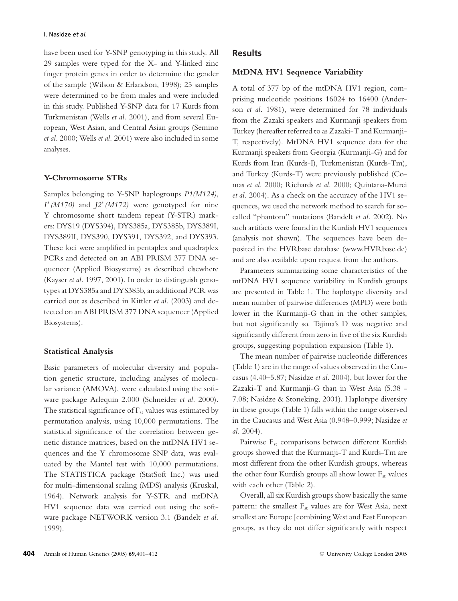have been used for Y-SNP genotyping in this study. All 29 samples were typed for the X- and Y-linked zinc finger protein genes in order to determine the gender of the sample (Wilson & Erlandson, 1998); 25 samples were determined to be from males and were included in this study. Published Y-SNP data for 17 Kurds from Turkmenistan (Wells *et al.* 2001), and from several European, West Asian, and Central Asian groups (Semino *et al*. 2000; Wells *et al.* 2001) were also included in some analyses.

## **Y-Chromosome STRs**

Samples belonging to Y-SNP haplogroups *P1(M124)*, *I*<sup>∗</sup> *(M170)* and *J2*<sup>∗</sup> *(M172)* were genotyped for nine Y chromosome short tandem repeat (Y-STR) markers: DYS19 (DYS394), DYS385a, DYS385b, DYS389I, DYS389II, DYS390, DYS391, DYS392, and DYS393. These loci were amplified in pentaplex and quadraplex PCRs and detected on an ABI PRISM 377 DNA sequencer (Applied Biosystems) as described elsewhere (Kayser *et al.* 1997, 2001). In order to distinguish genotypes at DYS385a and DYS385b, an additional PCR was carried out as described in Kittler *et al.* (2003) and detected on an ABI PRISM 377 DNA sequencer (Applied Biosystems).

## **Statistical Analysis**

Basic parameters of molecular diversity and population genetic structure, including analyses of molecular variance (AMOVA), were calculated using the software package Arlequin 2.000 (Schneider *et al*. 2000). The statistical significance of  $F_{st}$  values was estimated by permutation analysis, using 10,000 permutations. The statistical significance of the correlation between genetic distance matrices, based on the mtDNA HV1 sequences and the Y chromosome SNP data, was evaluated by the Mantel test with 10,000 permutations. The STATISTICA package (StatSoft Inc.) was used for multi-dimensional scaling (MDS) analysis (Kruskal, 1964). Network analysis for Y-STR and mtDNA HV1 sequence data was carried out using the software package NETWORK version 3.1 (Bandelt *et al.* 1999).

## **Results**

#### **MtDNA HV1 Sequence Variability**

A total of 377 bp of the mtDNA HV1 region, comprising nucleotide positions 16024 to 16400 (Anderson *et al*. 1981), were determined for 78 individuals from the Zazaki speakers and Kurmanji speakers from Turkey (hereafter referred to as Zazaki-T and Kurmanji-T, respectively). MtDNA HV1 sequence data for the Kurmanji speakers from Georgia (Kurmanji-G) and for Kurds from Iran (Kurds-I), Turkmenistan (Kurds-Tm), and Turkey (Kurds-T) were previously published (Comas *et al.* 2000; Richards *et al.* 2000; Quintana-Murci *et al.* 2004). As a check on the accuracy of the HV1 sequences, we used the network method to search for socalled "phantom" mutations (Bandelt *et al.* 2002). No such artifacts were found in the Kurdish HV1 sequences (analysis not shown). The sequences have been deposited in the HVRbase database (www.HVRbase.de) and are also available upon request from the authors.

Parameters summarizing some characteristics of the mtDNA HV1 sequence variability in Kurdish groups are presented in Table 1. The haplotype diversity and mean number of pairwise differences (MPD) were both lower in the Kurmanji-G than in the other samples, but not significantly so. Tajima's D was negative and significantly different from zero in five of the six Kurdish groups, suggesting population expansion (Table 1).

The mean number of pairwise nucleotide differences (Table 1) are in the range of values observed in the Caucasus (4.40–5.87; Nasidze *et al.* 2004), but lower for the Zazaki-T and Kurmanji-G than in West Asia (5.38 - 7.08; Nasidze & Stoneking, 2001). Haplotype diversity in these groups (Table 1) falls within the range observed in the Caucasus and West Asia (0.948–0.999; Nasidze *et al.* 2004).

Pairwise  $F_{st}$  comparisons between different Kurdish groups showed that the Kurmanji-T and Kurds-Tm are most different from the other Kurdish groups, whereas the other four Kurdish groups all show lower  $F_{st}$  values with each other (Table 2).

Overall, all six Kurdish groups show basically the same pattern: the smallest  $F_{st}$  values are for West Asia, next smallest are Europe [combining West and East European groups, as they do not differ significantly with respect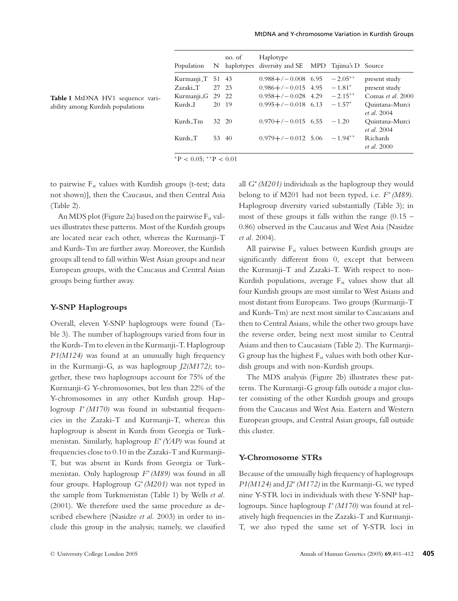| Population       |       | no. of | Haplotype<br>N haplotypes diversity and SE MPD Tajima's D Source |            |                                |
|------------------|-------|--------|------------------------------------------------------------------|------------|--------------------------------|
| Kurmanji T 51 43 |       |        | $0.988 + / -0.008$ 6.95                                          | $-2.05**$  | present study                  |
| Zazaki_T         | 27 23 |        | $0.986 + (-0.015)$ 4.95                                          | $-1.81*$   | present study                  |
| Kurmanji G 29 22 |       |        | $0.958 + (-0.028)$ 4.29                                          | $-2.15***$ | Comas et al. 2000              |
| Kurds_I          |       | 20 19  | $0.995 + (-0.018)$ 6.13                                          | $-1.57*$   | Quintana-Murci<br>et al. 2004  |
| Kurds_Tm         |       | 32 20  | $0.970 + (-0.015 \quad 6.55$                                     | $-1.20$    | Quintana-Murci<br>et al. 2004  |
| Kurds T          |       | 53 40  | $0.979 + / -0.012$ 5.06                                          | $-1.94**$  | Richards<br><i>et al.</i> 2000 |

 $*P < 0.05$ ;  $*P < 0.01$ 

to pairwise  $F_{st}$  values with Kurdish groups (t-test; data not shown)], then the Caucasus, and then Central Asia (Table 2).

**Table 1** MtDNA HV1 sequence variability among Kurdish populations

An MDS plot (Figure 2a) based on the pairwise  $F_{st}$  values illustrates these patterns. Most of the Kurdish groups are located near each other, whereas the Kurmanji-T and Kurds-Tm are further away. Moreover, the Kurdish groups all tend to fall within West Asian groups and near European groups, with the Caucasus and Central Asian groups being further away.

## **Y-SNP Haplogroups**

Overall, eleven Y-SNP haplogroups were found (Table 3). The number of haplogroups varied from four in the Kurds-Tm to eleven in the Kurmanji-T. Haplogroup *P1(M124)* was found at an unusually high frequency in the Kurmanji-G, as was haplogroup *J2(M172)*; together, these two haplogroups account for 75% of the Kurmanji-G Y-chromosomes, but less than 22% of the Y-chromosomes in any other Kurdish group. Haplogroup *I*<sup>∗</sup> *(M170)* was found in substantial frequencies in the Zazaki-T and Kurmanji-T, whereas this haplogroup is absent in Kurds from Georgia or Turkmenistan. Similarly, haplogroup *E*<sup>∗</sup> *(YAP)* was found at frequencies close to 0.10 in the Zazaki-T and Kurmanji-T, but was absent in Kurds from Georgia or Turkmenistan. Only haplogroup *F*<sup>∗</sup> *(M89)* was found in all four groups. Haplogroup *G*<sup>∗</sup> *(M201)* was not typed in the sample from Turkmenistan (Table 1) by Wells *et al.* (2001). We therefore used the same procedure as described elsewhere (Nasidze *et al.* 2003) in order to include this group in the analysis; namely, we classified

all *G*<sup>∗</sup> *(M201)* individuals as the haplogroup they would belong to if M201 had not been typed, i.e. *F*<sup>∗</sup> *(M89).* Haplogroup diversity varied substantially (Table 3); in most of these groups it falls within the range  $(0.15 -$ 0.86) observed in the Caucasus and West Asia (Nasidze *et al.* 2004).

All pairwise  $F_{st}$  values between Kurdish groups are significantly different from 0, except that between the Kurmanji-T and Zazaki-T. With respect to non-Kurdish populations, average  $F_{st}$  values show that all four Kurdish groups are most similar to West Asians and most distant from Europeans. Two groups (Kurmanji-T and Kurds-Tm) are next most similar to Caucasians and then to Central Asians, while the other two groups have the reverse order, being next most similar to Central Asians and then to Caucasians (Table 2). The Kurmanji-G group has the highest  $F_{st}$  values with both other Kurdish groups and with non-Kurdish groups.

The MDS analysis (Figure 2b) illustrates these patterns. The Kurmanji-G group falls outside a major cluster consisting of the other Kurdish groups and groups from the Caucasus and West Asia. Eastern and Western European groups, and Central Asian groups, fall outside this cluster.

#### **Y-Chromosome STRs**

Because of the unusually high frequency of haplogroups *P1(M124)* and *J2*<sup>∗</sup> *(M172)* in the Kurmanji-G, we typed nine Y-STR loci in individuals with these Y-SNP haplogroups. Since haplogroup *I*<sup>∗</sup> *(M170)* was found at relatively high frequencies in the Zazaki-T and Kurmanji-T, we also typed the same set of Y-STR loci in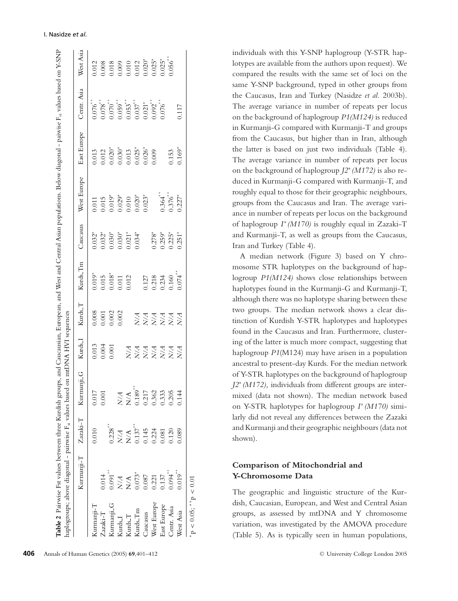|                    | Kurmanji-T                | $Zazaki-T$            | Kurmanji. G          | Kurds <sub>-I</sub> | Kurds T            | Kurds <sub>-Tm</sub>    | Caucasus                                                      | West Europe | East Europe                                                                           | Centr. Asia                                   | West Asia                                                                                                                                   |
|--------------------|---------------------------|-----------------------|----------------------|---------------------|--------------------|-------------------------|---------------------------------------------------------------|-------------|---------------------------------------------------------------------------------------|-----------------------------------------------|---------------------------------------------------------------------------------------------------------------------------------------------|
| Kurmanji-T         |                           | 0.010                 | 0.017                | 0.013               |                    | $0.019*$                | $0.032*$                                                      | 110.0       |                                                                                       | $0.076$ **                                    | 0.012                                                                                                                                       |
| Zazaki-T           | 0.014                     |                       | 0.001                | 0.004               | 0.008              | 0.015                   |                                                               | 0.015       |                                                                                       | $0.078$ <sup>**</sup>                         |                                                                                                                                             |
| Kurmanji G         | $0.091$ **                | $0.228$ <sup>**</sup> |                      | 0.001               | $0.002$<br>$0.002$ | $0.018*$                | $0.032$ *<br>$0.030$ *<br>$0.030$ *<br>$0.030$ *<br>$0.034$ * | $0.019*$    | $\begin{array}{c} 0.013 \\ 0.012 \\ 0.020^* \\ 0.030^* \\ 0.013 \\ 0.013 \end{array}$ | $0.070^{**}$                                  | $\begin{array}{l} 0.008 \\ 0.018 \\ 0.009 \\ 0.010 \\ 0.012 \\ 0.020^* \\ 0.025^* \\ 0.025^* \\ 0.025^* \\ 0.012 \\ 0.025^* \\ \end{array}$ |
| Kurds <sub>1</sub> | <b>A/N</b>                | N/A                   | N/A                  |                     |                    | 0.011                   |                                                               |             |                                                                                       |                                               |                                                                                                                                             |
| Kurds T            | $\mathop{\rm N}\nolimits$ | N/A                   | $\sum^\mathsf{A}$    |                     |                    | 0.012                   |                                                               | 0.029*      |                                                                                       | $0.059^{**}$<br>$0.053^{**}$<br>$0.037^{**}$  |                                                                                                                                             |
| Kurds Tm           | $0.073*$                  | $0.137**$             | $0.189$ <sup>*</sup> |                     |                    |                         |                                                               | $0.020*$    |                                                                                       |                                               |                                                                                                                                             |
| Caucasus           | 0.087                     | 0.145                 | 0.217                |                     |                    |                         |                                                               | $0.023*$    | $0.026$ <sup>*</sup>                                                                  | $0.021$ <sup>*</sup><br>$0.092$ <sup>**</sup> |                                                                                                                                             |
| West Europe        | 0.221                     | 0.224                 | 0.362                |                     |                    |                         |                                                               |             |                                                                                       |                                               |                                                                                                                                             |
| East Europe        | 0.137                     | 0.081                 | 0.333                |                     |                    | 0.127<br>0.218<br>0.234 | $0.278$ *<br>0.259*                                           | $0.364**$   |                                                                                       | $0.076**$                                     |                                                                                                                                             |
| Centr. Asia        | $0.094$ <sup>**</sup>     | 0.120                 | 0.205                |                     |                    |                         | $0.225*$                                                      | $0.376**$   | 1.153                                                                                 |                                               | $0.056$ <sup>**</sup>                                                                                                                       |
| West Asia          | $0.019**$                 | 0.089                 | 0.144                | N/A                 |                    | $0.074$ <sup>**</sup>   | $0.251*$                                                      | $0.227*$    | $0.169*$                                                                              | 0.117                                         |                                                                                                                                             |

individuals with this Y-SNP haplogroup (Y-STR haplotypes are available from the authors upon request). We compared the results with the same set of loci on the same Y-SNP background, typed in other groups from the Caucasus, Iran and Turkey (Nasidze *et al.* 2003b). The average variance in number of repeats per locus on the background of haplogroup *P1(M124)* is reduced in Kurmanji-G compared with Kurmanji-T and groups from the Caucasus, but higher than in Iran, although the latter is based on just two individuals (Table 4). The average variance in number of repeats per locus on the background of haplogroup *J2*<sup>∗</sup> *(M172)* is also reduced in Kurmanji-G compared with Kurmanji-T, and roughly equal to those for their geographic neighbours, groups from the Caucasus and Iran. The average variance in number of repeats per locus on the background of haplogroup *I*<sup>∗</sup> *(M170)* is roughly equal in Zazaki-T and Kurmanji-T, as well as groups from the Caucasus, Iran and Turkey (Table 4).

A median network (Figure 3) based on Y chromosome STR haplotypes on the background of haplogroup *P1(M124)* shows close relationships between haplotypes found in the Kurmanji-G and Kurmanji-T, although there was no haplotype sharing between these two groups. The median network shows a clear distinction of Kurdish Y-STR haplotypes and haplotypes found in the Caucasus and Iran. Furthermore, clustering of the latter is much more compact, suggesting that haplogroup *P1*(M124) may have arisen in a population ancestral to present-day Kurds. For the median network of Y-STR haplotypes on the background of haplogroup *J2*<sup>∗</sup> *(M172),* individuals from different groups are intermixed (data not shown). The median network based on Y-STR haplotypes for haplogroup *I*<sup>∗</sup> *(M170)* similarly did not reveal any differences between the Zazaki and Kurmanji and their geographic neighbours (data not shown).

# **Comparison of Mitochondrial and Y-Chromosome Data**

The geographic and linguistic structure of the Kurdish, Caucasian, European, and West and Central Asian groups, as assessed by mtDNA and Y chromosome variation, was investigated by the AMOVA procedure (Table 5). As is typically seen in human populations,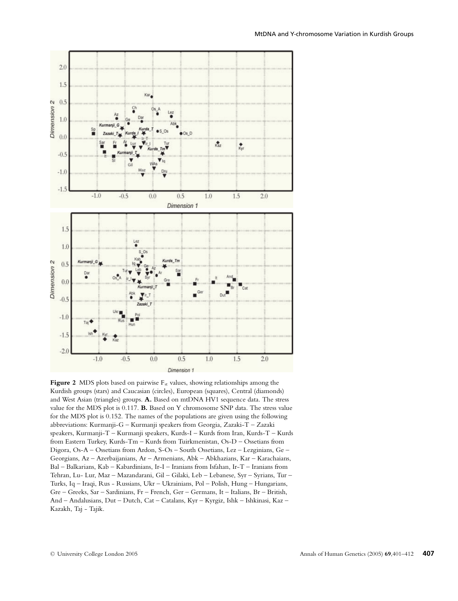

**Figure 2** MDS plots based on pairwise  $F_{st}$  values, showing relationships among the Kurdish groups (stars) and Caucasian (circles), European (squares), Central (diamonds) and West Asian (triangles) groups. **A.** Based on mtDNA HV1 sequence data. The stress value for the MDS plot is 0.117. **B.** Based on Y chromosome SNP data. The stress value for the MDS plot is 0.152. The names of the populations are given using the following abbreviations: Kurmanji-G – Kurmanji speakers from Georgia, Zazaki-T – Zazaki speakers, Kurmanji-T – Kurmanji speakers, Kurds-I – Kurds from Iran, Kurds-T – Kurds from Eastern Turkey, Kurds-Tm – Kurds from Tuirkmenistan, Os-D – Ossetians from Digora, Os-A – Ossetians from Ardon, S-Os – South Ossetians, Lez – Lezginians, Ge – Georgians, Az – Azerbaijanians, Ar – Armenians, Abk – Abkhazians, Kar – Karachaians, Bal – Balkarians, Kab – Kabardinians, Ir-I – Iranians from Isfahan, Ir-T – Iranians from Tehran, Lu- Lur, Maz – Mazandarani, Gil – Gilaki, Leb – Lebanese, Syr – Syrians, Tur – Turks, Iq – Iraqi, Rus - Russians, Ukr – Ukrainians, Pol – Polish, Hung – Hungarians, Gre – Greeks, Sar – Sardinians, Fr – French, Ger – Germans, It – Italians, Br – British, And – Andalusians, Dut – Dutch, Cat – Catalans, Kyr – Kyrgiz, Ishk – Ishkinasi, Kaz – Kazakh, Taj - Tajik.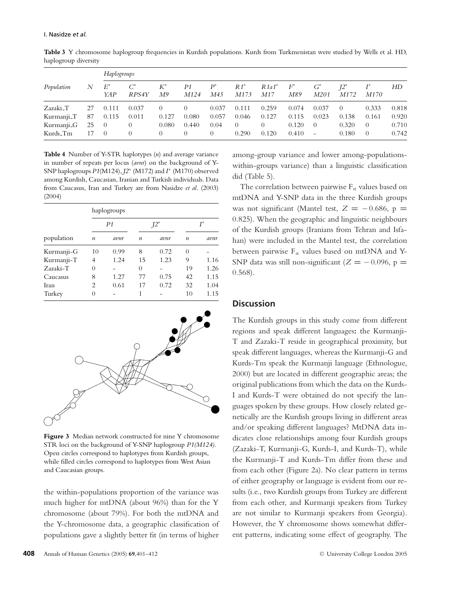| $\sim$     |    |                  |                |             |            |              |                |                |                 |                          |                |          |       |
|------------|----|------------------|----------------|-------------|------------|--------------|----------------|----------------|-----------------|--------------------------|----------------|----------|-------|
|            |    | Haplogroups      |                |             |            |              |                |                |                 |                          |                |          |       |
| Population | N  | $E^*$<br>YAP     | $C^*$<br>RPS4Y | $K^*$<br>Μ9 | P1<br>M124 | $P^*$<br>M45 | $R1^*$<br>M173 | $R1a1*$<br>M17 | $F^\ast$<br>M89 | $G^*$<br><i>M201</i>     | $I2^*$<br>M172 | M170     | HD    |
| Zazaki T   | 27 | 0.111            | 0.037          | $\theta$    |            | 0.037        | 0.111          | 0.259          | 0.074           | 0.037                    | $\Omega$       | 0.333    | 0.818 |
| Kurmanji_T | 87 | 0.115            | 0.011          | 0.127       | 0.080      | 0.057        | 0.046          | 0.127          | 0.115           | 0.023                    | 0.138          | 0.161    | 0.920 |
| Kurmanji G | 25 | - 0              | 0              | 0.080       | 0.440      | 0.04         | $\Omega$       | $\Omega$       | 0.120           | $\overline{0}$           | 0.320          | $\theta$ | 0.710 |
| Kurds_Tm   |    | $\left( \right)$ | $\theta$       | $\Omega$    | 0          | $\Omega$     | 0.290          | 0.120          | 0.410           | $\overline{\phantom{a}}$ | 0.180          | $\theta$ | 0.742 |

**Table 3** Y chromosome haplogroup frequencies in Kurdish populations. Kurds from Turkmenistan were studied by Wells et al. HD, haplogroup diversity

**Table 4** Number of Y-STR haplotypes (*n*) and average variance in number of repeats per locus (*avnr*) on the background of Y-SNP haplogroups *P1*(M124), *J2*<sup>∗</sup> (M172) and *I*<sup>∗</sup> (M170) observed among Kurdish, Caucasian, Iranian and Turkish individuals. Data from Caucasus, Iran and Turkey are from Nasidze *et al*. (2003) (2004)

|            |    | haplogroups |          |        |          |       |
|------------|----|-------------|----------|--------|----------|-------|
|            |    | P1          |          | $I2^*$ |          | $I^*$ |
| population | n  | avnr        | n        | avnr   | n        | avnr  |
| Kurmanji-G | 10 | 0.99        | 8        | 0.72   | $\Omega$ |       |
| Kurmanji-T | 4  | 1.24        | 15       | 1.23   | 9        | 1.16  |
| Zazaki-T   | 0  |             | $\theta$ |        | 19       | 1.26  |
| Caucasus   | 8  | 1.27        | 77       | 0.75   | 42       | 1.15  |
| Iran       | 2  | 0.61        | 17       | 0.72   | 32       | 1.04  |
| Turkey     | 0  |             | 1        |        | 10       | 1.15  |



**Figure 3** Median network constructed for nine Y chromosome STR loci on the background of Y-SNP haplogroup *P1(M124).* Open circles correspond to haplotypes from Kurdish groups, while filled circles correspond to haplotypes from West Asian and Caucasian groups.

the within-populations proportion of the variance was much higher for mtDNA (about 96%) than for the Y chromosome (about 79%). For both the mtDNA and the Y-chromosome data, a geographic classification of populations gave a slightly better fit (in terms of higher among-group variance and lower among-populationswithin-groups variance) than a linguistic classification did (Table 5).

The correlation between pairwise  $F_{st}$  values based on mtDNA and Y-SNP data in the three Kurdish groups was not significant (Mantel test,  $Z = -0.686$ ,  $p =$ 0.825). When the geographic and linguistic neighbours of the Kurdish groups (Iranians from Tehran and Isfahan) were included in the Mantel test, the correlation between pairwise F<sub>st</sub> values based on mtDNA and Y-SNP data was still non-significant ( $Z = -0.096$ , p = 0.568).

## **Discussion**

The Kurdish groups in this study come from different regions and speak different languages**:** the Kurmanji-T and Zazaki-T reside in geographical proximity, but speak different languages, whereas the Kurmanji-G and Kurds-Tm speak the Kurmanji language (Ethnologue, 2000) but are located in different geographic areas; the original publications from which the data on the Kurds-I and Kurds-T were obtained do not specify the languages spoken by these groups. How closely related genetically are the Kurdish groups living in different areas and/or speaking different languages? MtDNA data indicates close relationships among four Kurdish groups (Zazaki-T, Kurmanji-G, Kurds-I, and Kurds-T), while the Kurmanji-T and Kurds-Tm differ from these and from each other (Figure 2a). No clear pattern in terms of either geography or language is evident from our results (i.e., two Kurdish groups from Turkey are different from each other, and Kurmanji speakers from Turkey are not similar to Kurmanji speakers from Georgia). However, the Y chromosome shows somewhat different patterns, indicating some effect of geography. The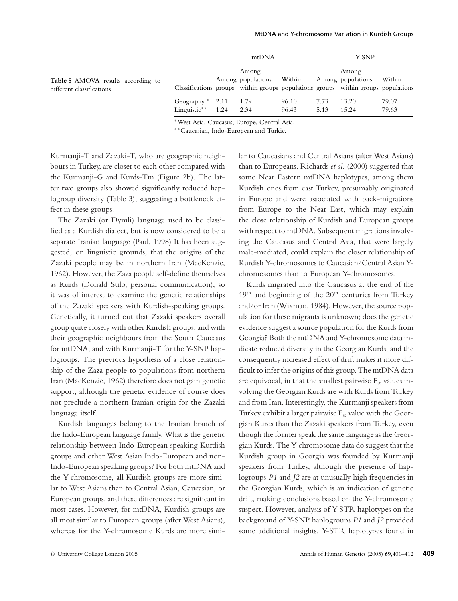|                                                                        |                                         | mtDNA                                                                                                                  |                |              |                            |                |
|------------------------------------------------------------------------|-----------------------------------------|------------------------------------------------------------------------------------------------------------------------|----------------|--------------|----------------------------|----------------|
| <b>Table 5</b> AMOVA results according to<br>different classifications |                                         | Among<br>Among populations Within<br>Classifications groups within groups populations groups within groups populations |                |              | Among<br>Among populations | Within         |
|                                                                        | Geography * 2.11<br>Linguistic** $1.24$ | 1.79<br>2.34                                                                                                           | 96.10<br>96.43 | 7.73<br>5.13 | 13.20<br>15.24             | 79.07<br>79.63 |

<sup>∗</sup>West Asia, Caucasus, Europe, Central Asia.

∗ ∗Caucasian, Indo-European and Turkic.

Kurmanji-T and Zazaki-T, who are geographic neighbours in Turkey, are closer to each other compared with the Kurmanji-G and Kurds-Tm (Figure 2b). The latter two groups also showed significantly reduced haplogroup diversity (Table 3), suggesting a bottleneck effect in these groups.

The Zazaki (or Dymli) language used to be classified as a Kurdish dialect, but is now considered to be a separate Iranian language (Paul, 1998) It has been suggested, on linguistic grounds, that the origins of the Zazaki people may be in northern Iran (MacKenzie, 1962). However, the Zaza people self-define themselves as Kurds (Donald Stilo, personal communication), so it was of interest to examine the genetic relationships of the Zazaki speakers with Kurdish-speaking groups. Genetically, it turned out that Zazaki speakers overall group quite closely with other Kurdish groups, and with their geographic neighbours from the South Caucasus for mtDNA, and with Kurmanji-T for the Y-SNP haplogroups. The previous hypothesis of a close relationship of the Zaza people to populations from northern Iran (MacKenzie, 1962) therefore does not gain genetic support, although the genetic evidence of course does not preclude a northern Iranian origin for the Zazaki language itself.

Kurdish languages belong to the Iranian branch of the Indo-European language family. What is the genetic relationship between Indo-European speaking Kurdish groups and other West Asian Indo-European and non-Indo-European speaking groups? For both mtDNA and the Y-chromosome, all Kurdish groups are more similar to West Asians than to Central Asian, Caucasian, or European groups, and these differences are significant in most cases. However, for mtDNA, Kurdish groups are all most similar to European groups (after West Asians), whereas for the Y-chromosome Kurds are more similar to Caucasians and Central Asians (after West Asians) than to Europeans. Richards *et al.* (2000) suggested that some Near Eastern mtDNA haplotypes, among them Kurdish ones from east Turkey, presumably originated in Europe and were associated with back-migrations from Europe to the Near East, which may explain the close relationship of Kurdish and European groups with respect to mtDNA. Subsequent migrations involving the Caucasus and Central Asia, that were largely male-mediated, could explain the closer relationship of Kurdish Y-chromosomes to Caucasian/Central Asian Ychromosomes than to European Y-chromosomes.

Kurds migrated into the Caucasus at the end of the  $19<sup>th</sup>$  and beginning of the  $20<sup>th</sup>$  centuries from Turkey and/or Iran (Wixman, 1984). However, the source population for these migrants is unknown; does the genetic evidence suggest a source population for the Kurds from Georgia? Both the mtDNA and Y-chromosome data indicate reduced diversity in the Georgian Kurds, and the consequently increased effect of drift makes it more difficult to infer the origins of this group. The mtDNA data are equivocal, in that the smallest pairwise  $F_{st}$  values involving the Georgian Kurds are with Kurds from Turkey and from Iran. Interestingly, the Kurmanji speakers from Turkey exhibit a larger pairwise  $F_{st}$  value with the Georgian Kurds than the Zazaki speakers from Turkey, even though the former speak the same language as the Georgian Kurds. The Y-chromosome data do suggest that the Kurdish group in Georgia was founded by Kurmanji speakers from Turkey, although the presence of haplogroups *P1* and *J2* are at unusually high frequencies in the Georgian Kurds, which is an indication of genetic drift, making conclusions based on the Y-chromosome suspect. However, analysis of Y-STR haplotypes on the background of Y-SNP haplogroups *P1* and *J2* provided some additional insights. Y-STR haplotypes found in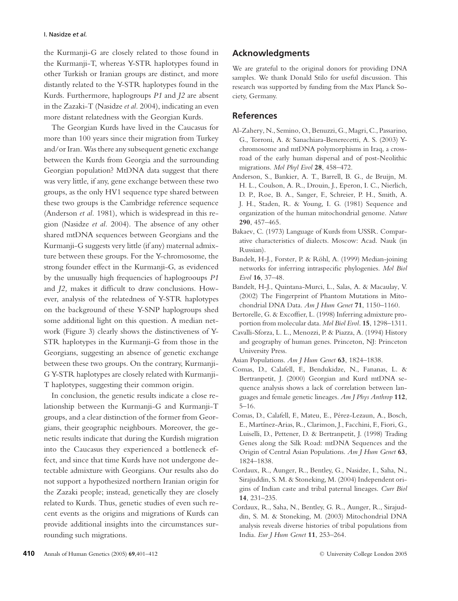the Kurmanji-G are closely related to those found in the Kurmanji-T, whereas Y-STR haplotypes found in other Turkish or Iranian groups are distinct, and more distantly related to the Y-STR haplotypes found in the Kurds. Furthermore, haplogroups *P1* and *J2* are absent in the Zazaki-T (Nasidze *et al.* 2004), indicating an even more distant relatedness with the Georgian Kurds.

The Georgian Kurds have lived in the Caucasus for more than 100 years since their migration from Turkey and/or Iran. Was there any subsequent genetic exchange between the Kurds from Georgia and the surrounding Georgian population? MtDNA data suggest that there was very little, if any, gene exchange between these two groups, as the only HV1 sequence type shared between these two groups is the Cambridge reference sequence (Anderson *et al.* 1981), which is widespread in this region (Nasidze *et al.* 2004). The absence of any other shared mtDNA sequences between Georgians and the Kurmanji-G suggests very little (if any) maternal admixture between these groups. For the Y-chromosome, the strong founder effect in the Kurmanji-G, as evidenced by the unusually high frequencies of haplogrooups *P1* and *J2,* makes it difficult to draw conclusions. However, analysis of the relatedness of Y-STR haplotypes on the background of these Y-SNP haplogroups shed some additional light on this question. A median network (Figure 3) clearly shows the distinctiveness of Y-STR haplotypes in the Kurmanji-G from those in the Georgians, suggesting an absence of genetic exchange between these two groups. On the contrary, Kurmanji-G Y-STR haplotypes are closely related with Kurmanji-T haplotypes, suggesting their common origin.

In conclusion, the genetic results indicate a close relationship between the Kurmanji-G and Kurmanji-T groups, and a clear distinction of the former from Georgians, their geographic neighbours. Moreover, the genetic results indicate that during the Kurdish migration into the Caucasus they experienced a bottleneck effect, and since that time Kurds have not undergone detectable admixture with Georgians. Our results also do not support a hypothesized northern Iranian origin for the Zazaki people; instead, genetically they are closely related to Kurds. Thus, genetic studies of even such recent events as the origins and migrations of Kurds can provide additional insights into the circumstances surrounding such migrations.

# **Acknowledgments**

We are grateful to the original donors for providing DNA samples. We thank Donald Stilo for useful discussion. This research was supported by funding from the Max Planck Society, Germany.

## **References**

- Al-Zahery, N., Semino, O., Benuzzi, G., Magri, C., Passarino, G., Torroni, A. & Sanachiara-Benerecetti, A. S. (2003) Ychromosome and mtDNA polymorphisms in Iraq, a crossroad of the early human dispersal and of post-Neolithic migrations. *Mol Phyl Evol* **28**, 458–472.
- Anderson, S., Bankier, A. T., Barrell, B. G., de Bruijn, M. H. L., Coulson, A. R., Drouin, J., Eperon, I. C., Nierlich, D. P., Roe, B. A., Sanger, F., Schreier, P. H., Smith, A. J. H., Staden, R. & Young, I. G. (1981) Sequence and organization of the human mitochondrial genome. *Nature* **290**, 457–465.
- Bakaev, C. (1973) Language of Kurds from USSR. Comparative characteristics of dialects. Moscow: Acad. Nauk (in Russian).
- Bandelt, H-J., Forster, P. & Röhl, A. (1999) Median-joining networks for inferring intraspecific phylogenies. *Mol Biol Evol* **16**, 37–48.
- Bandelt, H-J., Quintana-Murci, L., Salas, A. & Macaulay, V. (2002) The Fingerprint of Phantom Mutations in Mitochondrial DNA Data. *Am J Hum Genet* **71**, 1150–1160.
- Bertorelle, G. & Excoffier, L. (1998) Inferring admixture proportion from molecular data. *Mol Biol Evol*. **15**, 1298–1311.
- Cavalli-Sforza, L. L., Menozzi, P. & Piazza, A. (1994) History and geography of human genes. Princeton, NJ: Princeton University Press.
- Asian Populations. *Am J Hum Genet* **63**, 1824–1838.
- Comas, D., Calafell, F., Bendukidze, N., Fananas, L. & Bertranpetit, J. (2000) Georgian and Kurd mtDNA sequence analysis shows a lack of correlation between languages and female genetic lineages. *Am J Phys Anthrop* **112**, 5–16.
- Comas, D., Calafell, F., Mateu, E., Pérez-Lezaun, A., Bosch, E., Martínez-Arias, R., Clarimon, J., Facchini, F., Fiori, G., Luiselli, D., Pettener, D. & Bertranpetit, J. (1998) Trading Genes along the Silk Road: mtDNA Sequences and the Origin of Central Asian Populations. *Am J Hum Genet* **63**, 1824–1838.
- Cordaux, R., Aunger, R., Bentley, G., Nasidze, I., Saha, N., Sirajuddin, S. M. & Stoneking, M. (2004) Independent origins of Indian caste and tribal paternal lineages. *Curr Biol* **14**, 231–235.
- Cordaux, R., Saha, N., Bentley, G. R., Aunger, R., Sirajuddin, S. M. & Stoneking, M. (2003) Mitochondrial DNA analysis reveals diverse histories of tribal populations from India. *Eur J Hum Genet* **11**, 253–264.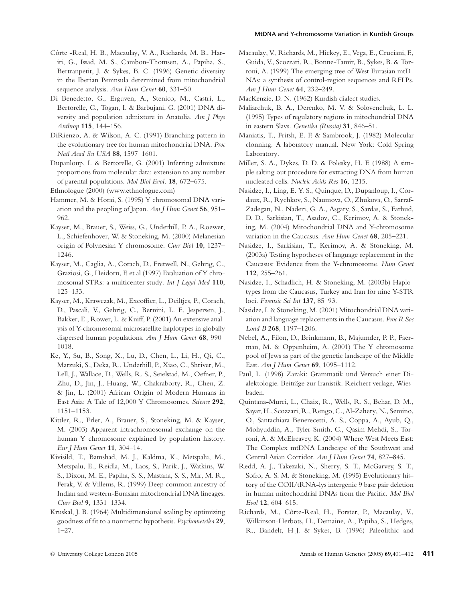- Côrte -Real, H. B., Macaulay, V. A., Richards, M. B., Hariti, G., Issad, M. S., Cambon-Thomsen, A., Papiha, S., Bertranpetit, J. & Sykes, B. C. (1996) Genetic diversity in the Iberian Peninsula determined from mitochondrial sequence analysis. *Ann Hum Genet* **60**, 331–50.
- Di Benedetto, G., Erguven, A., Stenico, M., Castri, L., Bertorelle, G., Togan, I. & Barbujani, G. (2001) DNA diversity and population admixture in Anatolia. *Am J Phys Anthrop* **115**, 144–156.
- DiRienzo, A. & Wilson, A. C. (1991) Branching pattern in the evolutionary tree for human mitochondrial DNA. *Proc Natl Acad Sci USA* **88**, 1597–1601.
- Dupanloup, I. & Bertorelle, G. (2001) Inferring admixture proportions from molecular data: extension to any number of parental populations. *Mol Biol Evol.* **18**, 672–675.

Ethnologue (2000) (www.ethnologue.com)

- Hammer, M. & Horai, S. (1995) Y chromosomal DNA variation and the peopling of Japan. *Am J Hum Genet* **56**, 951– 962.
- Kayser, M., Brauer, S., Weiss, G., Underhill, P. A., Roewer, L., Schiefenhover, W. & Stoneking, M. (2000) Melanesian origin of Polynesian Y chromosome. *Curr Biol* **10**, 1237– 1246.
- Kayser, M., Caglia, A., Corach, D., Fretwell, N., Gehrig, C., Graziosi, G., Heidorn, F. et al (1997) Evaluation of Y chromosomal STRs: a multicenter study. *Int J Legal Med* **110**, 125–133.
- Kayser, M., Krawczak, M., Excoffier, L., Deiltjes, P., Corach, D., Pascali, V., Gehrig, C., Bernini, L. F., Jespersen, J., Bakker, E., Rower, L. & Kniff, P. (2001) An extensive analysis of Y-chromosomal microsatellite haplotypes in globally dispersed human populations. *Am J Hum Genet* **68**, 990– 1018.
- Ke, Y., Su, B., Song, X., Lu, D., Chen, L., Li, H., Qi, C., Marzuki, S., Deka, R., Underhill, P., Xiao, C., Shriver, M., Lell, J., Wallace, D., Wells, R. S., Seielstad, M., Oefner, P., Zhu, D., Jin, J., Huang, W., Chakraborty, R., Chen, Z. & Jin, L. (2001) African Origin of Modern Humans in East Asia: A Tale of 12,000 Y Chromosomes. *Science* **292**, 1151–1153.
- Kittler, R., Erler, A., Brauer, S., Stoneking, M. & Kayser, M. (2003) Apparent intrachromosomal exchange on the human Y chromosome explained by population history. *Eur J Hum Genet* **11**, 304–14.
- Kivisild, T., Bamshad, M. J., Kaldma, K., Metspalu, M., Metspalu, E., Reidla, M., Laos, S., Parik, J., Watkins, W. S., Dixon, M. E., Papiha, S. S., Mastana, S. S., Mir, M. R., Ferak, V. & Villems, R. (1999) Deep common ancestry of Indian and western-Eurasian mitochondrial DNA lineages. *Curr Biol* **9**, 1331–1334.
- Kruskal, J. B. (1964) Multidimensional scaling by optimizing goodness of fit to a nonmetric hypothesis. *Psychometrika* **29**, 1–27.
- Macaulay, V., Richards, M., Hickey, E., Vega, E., Cruciani, F., Guida, V., Scozzari, R., Bonne-Tamir, B., Sykes, B. & Torroni, A. (1999) The emerging tree of West Eurasian mtD-NAs: a synthesis of control-region sequences and RFLPs. *Am J Hum Genet* **64**, 232–249.
- MacKenzie, D. N. (1962) Kurdish dialect studies.
- Maliarchuk, B. A., Derenko, M. V. & Solovenchuk, L. L. (1995) Types of regulatory regions in mitochondrial DNA in eastern Slavs. *Genetika (Russia)* **31**, 846–51.
- Maniatis, T., Fritsh, E. F. & Sambrook, J. (1982) Molecular clonning. A laboratory manual. New York: Cold Spring Laboratory.
- Miller, S. A., Dykes, D. D. & Polesky, H. F. (1988) A simple salting out procedure for extracting DNA from human nucleated cells. *Nucleic Acids Res* **16**, 1215.
- Nasidze, I., Ling, E. Y. S., Quinque, D., Dupanloup, I., Cordaux, R., Rychkov, S., Naumova, O., Zhukova, O., Sarraf-Zadegan, N., Naderi, G. A., Asgary, S., Sardas, S., Farhud, D. D., Sarkisian, T., Asadov, C., Kerimov, A. & Stoneking, M. (2004) Mitochondrial DNA and Y-chromosome variation in the Caucasus. *Ann Hum Genet* **68**, 205–221.
- Nasidze, I., Sarkisian, T., Kerimov, A. & Stoneking, M. (2003a) Testing hypotheses of language replacement in the Caucasus: Evidence from the Y-chromosome. *Hum Genet* **112**, 255–261.
- Nasidze, I., Schadlich, H. & Stoneking, M. (2003b) Haplotypes from the Caucasus, Turkey and Iran for nine Y-STR loci. *Forensic Sci Int* **137**, 85–93.
- Nasidze, I. & Stoneking, M. (2001) Mitochondrial DNA variation and language replacements in the Caucasus. *Proc R Soc Lond B* **268**, 1197–1206.
- Nebel, A., Filon, D., Brinkmann, B., Majumder, P. P., Faerman, M. & Oppenheim, A. (2001) The Y chromosome pool of Jews as part of the genetic landscape of the Middle East. *Am J Hum Genet* **69**, 1095–1112.
- Paul, L. (1998) Zazaki: Grammatik und Versuch einer Dialektologie. Beiträge zur Iranistik. Reichert verlage, Wiesbaden.
- Quintana-Murci, L., Chaix, R., Wells, R. S., Behar, D. M., Sayar, H., Scozzari, R., Rengo, C., Al-Zahery, N., Semino, O., Santachiara-Benerecetti, A. S., Coppa, A., Ayub, Q., Mohyuddin, A., Tyler-Smith, C., Qasim Mehdi, S., Torroni, A. & McElreavey, K. (2004) Where West Meets East: The Complex mtDNA Landscape of the Southwest and Central Asian Corridor. *Am J Hum Genet* **74**, 827–845.
- Redd, A. J., Takezaki, N., Sherry, S. T., McGarvey, S. T., Sofro, A. S. M. & Stoneking, M. (1995) Evolutionary history of the COII/tRNA-lys intergenic 9 base pair deletion in human mitochondrial DNAs from the Pacific. *Mol Biol Evol* **12**, 604–615.
- Richards, M., Côrte-Real, H., Forster, P., Macaulay, V., Wilkinson-Herbots, H., Demaine, A., Papiha, S., Hedges, R., Bandelt, H-J. & Sykes, B. (1996) Paleolithic and